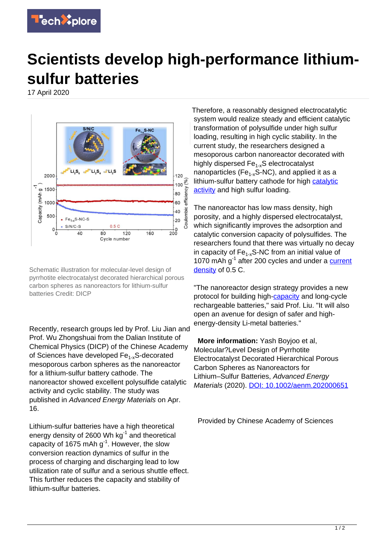

## **Scientists develop high-performance lithiumsulfur batteries**

17 April 2020



Schematic illustration for molecular-level design of pyrrhotite electrocatalyst decorated hierarchical porous carbon spheres as nanoreactors for lithium-sulfur batteries Credit: DICP

Recently, research groups led by Prof. Liu Jian and Prof. Wu Zhongshuai from the Dalian Institute of Chemical Physics (DICP) of the Chinese Academy of Sciences have developed Fe<sub>1-x</sub>S-decorated mesoporous carbon spheres as the nanoreactor for a lithium-sulfur battery cathode. The nanoreactor showed excellent polysulfide catalytic activity and cyclic stability. The study was published in Advanced Energy Materials on Apr. 16.

Lithium-sulfur batteries have a high theoretical energy density of 2600 Wh  $kg^{-1}$  and theoretical capacity of 1675 mAh  $g^{-1}$ . However, the slow conversion reaction dynamics of sulfur in the process of charging and discharging lead to low utilization rate of sulfur and a serious shuttle effect. This further reduces the capacity and stability of lithium-sulfur batteries.

Therefore, a reasonably designed electrocatalytic system would realize steady and efficient catalytic transformation of polysulfide under high sulfur loading, resulting in high cyclic stability. In the current study, the researchers designed a mesoporous carbon nanoreactor decorated with highly dispersed Fe<sub>1-x</sub>S electrocatalyst nanoparticles (Fe<sub>1-x</sub>S-NC), and applied it as a lithium-sulfur battery cathode for high [catalytic](https://techxplore.com/tags/catalytic+activity/) [activity](https://techxplore.com/tags/catalytic+activity/) and high sulfur loading.

The nanoreactor has low mass density, high porosity, and a highly dispersed electrocatalyst, which significantly improves the adsorption and catalytic conversion capacity of polysulfides. The researchers found that there was virtually no decay in capacity of  $Fe<sub>1-x</sub>$ S-NC from an initial value of 1070 mAh g<sup>-1</sup> after 200 cycles and under a [current](https://techxplore.com/tags/current+density/) [density](https://techxplore.com/tags/current+density/) of 0.5 C.

"The nanoreactor design strategy provides a new protocol for building high-[capacity](https://techxplore.com/tags/capacity/) and long-cycle rechargeable batteries," said Prof. Liu. "It will also open an avenue for design of safer and highenergy-density Li-metal batteries."

 **More information:** Yash Boyjoo et al, Molecular?Level Design of Pyrrhotite Electrocatalyst Decorated Hierarchical Porous Carbon Spheres as Nanoreactors for Lithium–Sulfur Batteries, Advanced Energy Materials (2020). [DOI: 10.1002/aenm.202000651](http://dx.doi.org/10.1002/aenm.202000651)

Provided by Chinese Academy of Sciences